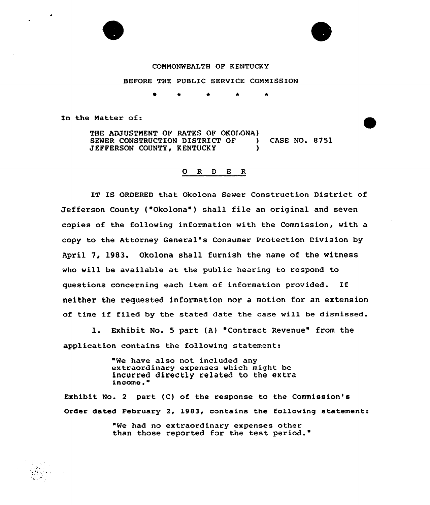

## p'OMMONWEALTH OF KENTUCKY

BEFORE THE PUBLIC SERVICE CONHISSION

In the Matter of:

THE ADJUSTNENT OF RATES OF OKOLONA) SEWER CONSTRUCTION DISTRICT OF (ASE NO. 8751)<br>JEFFERSON COUNTY, KENTUCKY JEFFERSON COUNTY, KENTUCKY

## O R D E R

IT IS ORDERED that Okolona Sewer Construction District of Jefferson County ("Okolona") shall file an original and seven copies of the following information vith the Commission, with a copy to the Attorney General's Consumer Protection Division by April 7, l983. Okolona shall furnish the name of the witness who will be available at the public hearing to respond to questions concerning each item of information provided. Xf neither the requested information nor a motion for an extension of time if filed by the stated date the case will be dismissed.

l. Exhibit No. <sup>5</sup> part (A) "Contract Revenue" from the application contains the following statement:

> "We have also not included any extraordinary expenses which might be incurred directly related to the extra income."

Exhibit No. <sup>2</sup> part (C) of the response to the Commission's Order dated February 2, 1983, contains the following statements

> "We had no extraordinary expenses other than those reported for the test period."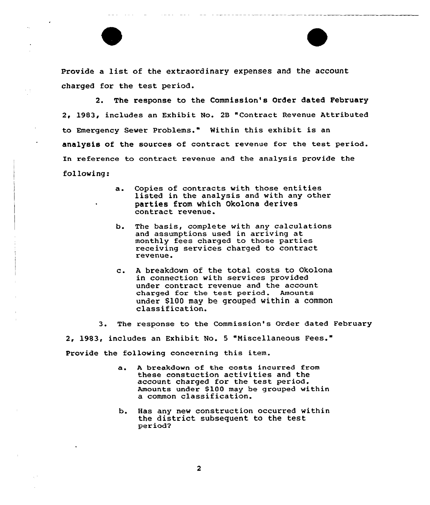Provide <sup>a</sup> list of the extraordinary expenses and the account charged for the test period.

2. The response to the Commission's Order dated February 2, 1983, includes an Exhibit No. 28 "Contract Revenue Attributed to Emergency Sewer Problems." Within this exhibit is an analysis of the sources of contract revenue for the test period. In reference to contract revenue and the analysis provide the following:

- a. Copies of contracts with those entities listed in the analysis and with any other parties from which Okolona derives contract revenue.
- b. The basis, complete with any calculations and assumptions used in arriving at monthly fees charged to those parties receiving services charged to contract revenue.
- c. <sup>A</sup> breakdown of the total costs to Okolona in connection with services provided under contract revenue and the account charged for the test period. Amounts under 8100 may be grouped within a common classification.

3. The response to the Commission's Order dated February

2, 19S3, includes an Exhibit No. <sup>5</sup> "Miscellaneous Fees."

Provide the following concerning this item.

- a. <sup>A</sup> breakdown of the costs incurred from these constuction activities and the account charged for the test period. Amounts under 8100 may be grouped within a common classification.
- b. Has any new construction occurred within the district subsequent to the test period2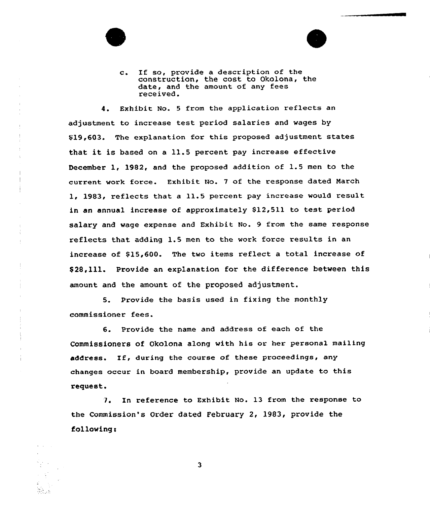

c. If so, provide <sup>a</sup> description of the construction, the cost to Okolona, the date, and the amount of any fees received.

4. Exhibit No. <sup>5</sup> from the application reflects an adjustment to increase test period salaries and wages by 419,603. The explanation for this proposed adjustment states that it is based on <sup>a</sup> 11.5 percent pay increase effective December 1, 1982, and the proposed addition of 1.5 men to the current work farce. Exhibit No. <sup>7</sup> of the response dated Narch 1, 1983, reflects that a 11.5 percent pay increase would result in an annual increase of approximately \$12,511 to test period salary and wage expense and Exhibit No. 9 from the same response reflects that adding 1.5 men to the work force results in an increase of \$15,600. The two items reflect a total increase of \$ 28,111. Provide an explanation for the difference between this amount and the amount of the proposed adjustment.

5. Provide the basis used in fixing the monthly commissioner fees.

6. Provide the name and address of each of the Commissioners of Okolona along with his or her personal mailing address. If, during the course of these proceedings, any changes occur in board membership, provide an update to this request.

1. In reference to Exhibit No. 13 from the response to the Commission's Order dated February 2, 1983, provide the followingr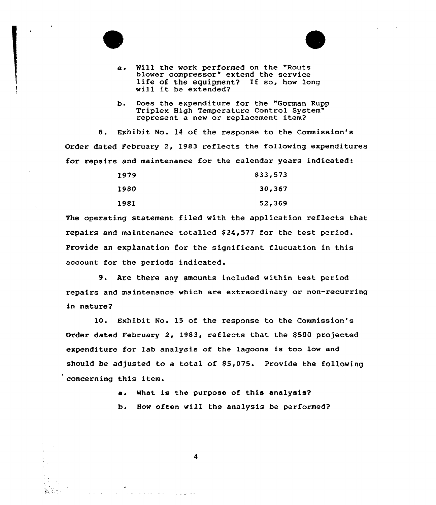



b. Does the expenditure for the "Gorman Rupp Triplex High Temperature Contro1 System" represent a new or replacement item?

8. Exhibit No. <sup>14</sup> of the response to the Commission's Order dated February 2, 1983 reflects the fo1lowing expenditures for repairs and maintenance for the calendar years indicated:

| 1979 | \$33,573 |
|------|----------|
| 1980 | 30,367   |
| 1981 | 52,369   |

The operating statement filed with the application reflects that repairs and maintenance totalled \$ 24,577 for the test period. Provide an explanation for the significant flucuation in this account for the periods indicated.

9. Are there any amounts included within test period repairs and maintenance which are extraordinary or non-recurring in nature?

10. Exhibit No. 15 of the response to the Commission's Order dated February 2, 1983, reflects that the 8500 projected expenditure for lab analysis of the lagoons is too low and should be adjusted to a total of \$5,075. Provide the following concerning this item.

> a. What is the purpose of this analysis? b. How often will the analysis be performed?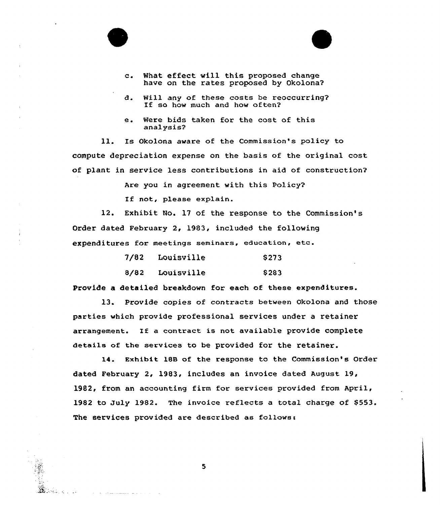

and the state of the state of the



- c. What effect will this proposed change have on the rates proposed by Okolona7
- d. Will any of these costs be reoccurring7 If so how much and how often7
- e. Were bids taken for the cost of this analysis?

ll. Es Okolona aware of the Commission's policy to compute depreciation expense on the basis of the original cost of plant in service less contributions in aid of construction7

Are you in agreement with this Policy?

If not, please explain.

12. Exhibit No. 17 of the response to the Commission's Order dated February 2, 1983, included the following expenditures for meetings seminars, education, etc.

| 7/82 | Louisville | \$273       |
|------|------------|-------------|
| 8/82 | Louisville | <b>S283</b> |

Provide a detailed breakdown for each of these expenditures.

13. Provide copies of contracts between Okolona and those parties which provide professional services under a retainer arrangement. If <sup>a</sup> contract is not available provide complete details of the services to be provided for the retainer.

14. Exhibit 188 of the response to the Commission's Order dated February 2, 1983, includes an invoice dated August 19, 1982, from an accounting firm for services provided from April, 1982 to July 1982. The invoice reflects a total charge of \$553. The services provided are described as follows: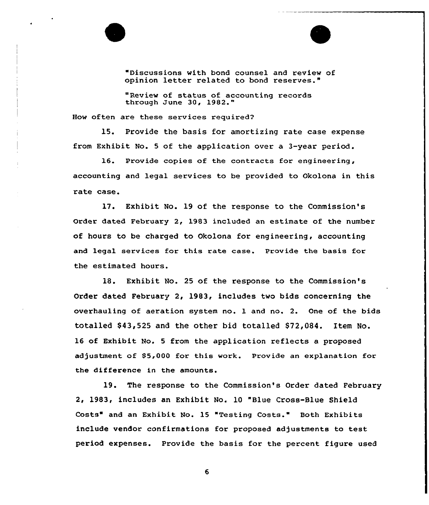Discussions with bond counsel and review of opinion letter related to bond reserves."

"Review of status of accounting records through June 30, 1982."

How often are these services required?

15. Provide the basis for amortizing rate case expense from Exhibit No. 5 of the application over a 3-year period.

16. Provide copies of the contracts for engineering, accounting and legal services to be provided to Okolona in this rate case.

17. Exhibit No. 19 of the response to the Commission's Order dated February 2, 1983 included an estimate of the number of hours to be charged to Okolona for engineering, accounting and legal services for this rate case. Provide the basis for the estimated hours.

18. Exhibit No. 25 of the response to the Commission's Order dated February 2, 1983, includes two bids concerning the overhauling of aeration system no. 1 and no. 2. One of the bids totalled  $$43,525$  and the other bid totalled  $$72,084$ . Item No. 16 of Exhibit No. <sup>5</sup> from the application reflects a proposed adjustment, of \$5,000 for this work. Provide an explanation for the difference in the amounts.

19. The response to the Commission's Order dated February 2, 1983, includes an Exhibit No. 10 "Blue Cross-Blue Shield Costs" and an Exhibit No. 15 "Testing Costs." Both Exhibits include vendor confirmations for proposed adjustments to test period expenses. Provide the basis for the percent figure used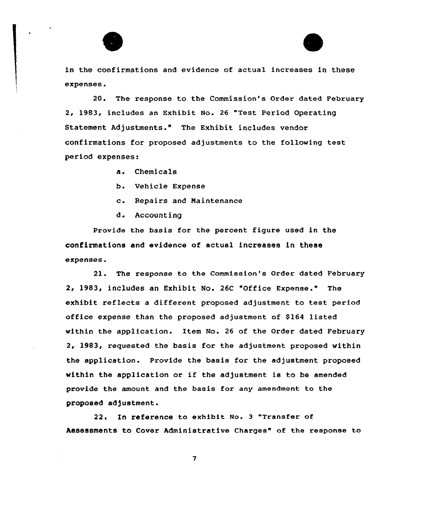



in the confirmations and evidence of actual increases in these expenses.

20. The response to the Commission's Order dated February 2, 1983, includes an Exhibit No. <sup>26</sup> "Test Period Operating Statement Adjustments." The Exhibit includes vendor confirmations for proposed adjustments to the following test period expenses:

- a. Chemicals
- b. Vehicle Expense
- c. Repairs and Naintenance
- d. Accounting

Provide the basis for the percent figure used in the confirmations and evidence of actual increases in these expenses.

21. The response to the Commission's Order dated February 2, 1983, includes an Exhibit No. 26C "Office Expense." The exhibit reflects a different proposed adjustment to test period office expense than the proposed adjustment of \$164 listed within the application. Item No. 26 of the Order dated February 2, 1983, requested the basis for the adjustment proposed within the application. Provide the basis for the adjustment proposed within the application or if the adjustment is to be amended provide the amount and the basis for any amendment to the proposed adjustment.

22. In reference to exhibit No. 3 "Transfer of Assessments to Cover Administrative Charges" of the response to

 $\overline{\mathbf{z}}$